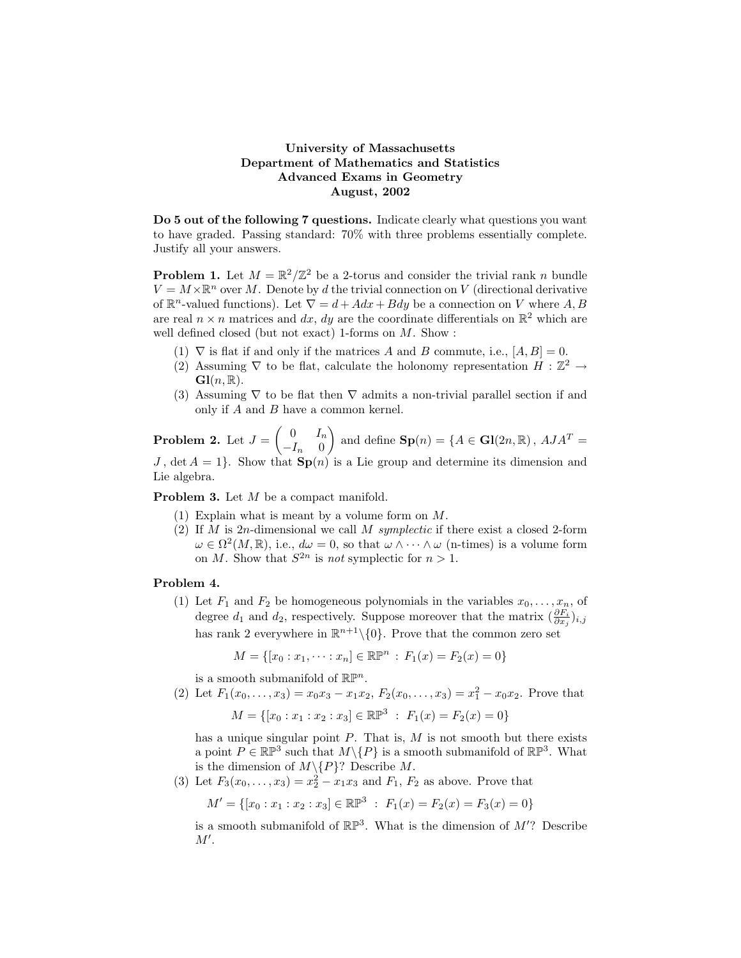## University of Massachusetts Department of Mathematics and Statistics Advanced Exams in Geometry August, 2002

Do 5 out of the following 7 questions. Indicate clearly what questions you want to have graded. Passing standard: 70% with three problems essentially complete. Justify all your answers.

**Problem 1.** Let  $M = \mathbb{R}^2/\mathbb{Z}^2$  be a 2-torus and consider the trivial rank n bundle  $V = M \times \mathbb{R}^n$  over M. Denote by d the trivial connection on V (directional derivative of  $\mathbb{R}^n$ -valued functions). Let  $\nabla = d + A dx + B dy$  be a connection on V where A, B are real  $n \times n$  matrices and dx, dy are the coordinate differentials on  $\mathbb{R}^2$  which are well defined closed (but not exact) 1-forms on  $M$ . Show :

- (1)  $\nabla$  is flat if and only if the matrices A and B commute, i.e.,  $[A, B] = 0$ .
- (2) Assuming  $\nabla$  to be flat, calculate the holonomy representation  $H : \mathbb{Z}^2 \to$  $\mathrm{Gl}(n,\mathbb{R}).$
- (3) Assuming  $\nabla$  to be flat then  $\nabla$  admits a non-trivial parallel section if and only if  $\boldsymbol{A}$  and  $\boldsymbol{B}$  have a common kernel.

**Problem 2.** Let  $J = \begin{pmatrix} 0 & I_n \\ I_n & 0 \end{pmatrix}$  $-I_n$  0 and define  $\mathbf{Sp}(n) = \{A \in \mathbf{Gl}(2n,\mathbb{R}), AJA^T = \}$ J, det  $A = 1$ . Show that  $\mathbf{Sp}(n)$  is a Lie group and determine its dimension and Lie algebra.

Problem 3. Let M be a compact manifold.

- (1) Explain what is meant by a volume form on M.
- (2) If M is 2n-dimensional we call M symplectic if there exist a closed 2-form  $\omega \in \Omega^2(M,\mathbb{R})$ , i.e.,  $d\omega = 0$ , so that  $\omega \wedge \cdots \wedge \omega$  (n-times) is a volume form on M. Show that  $S^{2n}$  is not symplectic for  $n > 1$ .

## Problem 4.

(1) Let  $F_1$  and  $F_2$  be homogeneous polynomials in the variables  $x_0, \ldots, x_n$ , of degree  $d_1$  and  $d_2$ , respectively. Suppose moreover that the matrix  $(\frac{\partial F_i}{\partial x_j})_{i,j}$ has rank 2 everywhere in  $\mathbb{R}^{n+1}\setminus\{0\}$ . Prove that the common zero set

$$
M = \{ [x_0 : x_1, \dots : x_n] \in \mathbb{R}\mathbb{P}^n : F_1(x) = F_2(x) = 0 \}
$$

is a smooth submanifold of  $\mathbb{R}\mathbb{P}^n$ .

(2) Let  $F_1(x_0,...,x_3) = x_0x_3 - x_1x_2, F_2(x_0,...,x_3) = x_1^2 - x_0x_2$ . Prove that

$$
M = \{ [x_0 : x_1 : x_2 : x_3] \in \mathbb{RP}^3 \; : \; F_1(x) = F_2(x) = 0 \}
$$

has a unique singular point  $P$ . That is,  $M$  is not smooth but there exists a point  $P \in \mathbb{RP}^3$  such that  $M \setminus \{P\}$  is a smooth submanifold of  $\mathbb{RP}^3$ . What is the dimension of  $M \setminus \{P\}$ ? Describe M.

(3) Let  $F_3(x_0,...,x_3) = x_2^2 - x_1x_3$  and  $F_1, F_2$  as above. Prove that

$$
M' = \{ [x_0 : x_1 : x_2 : x_3] \in \mathbb{RP}^3 \ : \ F_1(x) = F_2(x) = F_3(x) = 0 \}
$$

is a smooth submanifold of  $\mathbb{RP}^3$ . What is the dimension of  $M'$ ? Describe  $M'.$